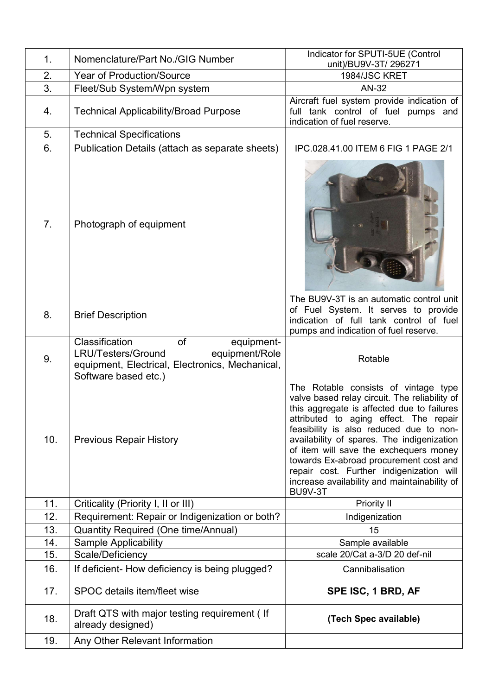| 1.  | Nomenclature/Part No./GIG Number                                                                                                                      | Indicator for SPUTI-5UE (Control<br>unit)/BU9V-3T/ 296271                                                                                                                                                                                                                                                                                                                                                                                                                |
|-----|-------------------------------------------------------------------------------------------------------------------------------------------------------|--------------------------------------------------------------------------------------------------------------------------------------------------------------------------------------------------------------------------------------------------------------------------------------------------------------------------------------------------------------------------------------------------------------------------------------------------------------------------|
| 2.  | <b>Year of Production/Source</b>                                                                                                                      | 1984/JSC KRET                                                                                                                                                                                                                                                                                                                                                                                                                                                            |
| 3.  | Fleet/Sub System/Wpn system                                                                                                                           | AN-32                                                                                                                                                                                                                                                                                                                                                                                                                                                                    |
| 4.  | <b>Technical Applicability/Broad Purpose</b>                                                                                                          | Aircraft fuel system provide indication of<br>full tank control of fuel pumps and<br>indication of fuel reserve.                                                                                                                                                                                                                                                                                                                                                         |
| 5.  | <b>Technical Specifications</b>                                                                                                                       |                                                                                                                                                                                                                                                                                                                                                                                                                                                                          |
| 6.  | Publication Details (attach as separate sheets)                                                                                                       | IPC.028.41.00 ITEM 6 FIG 1 PAGE 2/1                                                                                                                                                                                                                                                                                                                                                                                                                                      |
| 7.  | Photograph of equipment                                                                                                                               |                                                                                                                                                                                                                                                                                                                                                                                                                                                                          |
| 8.  | <b>Brief Description</b>                                                                                                                              | The BU9V-3T is an automatic control unit<br>of Fuel System. It serves to provide<br>indication of full tank control of fuel<br>pumps and indication of fuel reserve.                                                                                                                                                                                                                                                                                                     |
| 9.  | Classification<br>of<br>equipment-<br>LRU/Testers/Ground<br>equipment/Role<br>equipment, Electrical, Electronics, Mechanical,<br>Software based etc.) | Rotable                                                                                                                                                                                                                                                                                                                                                                                                                                                                  |
| 10. | <b>Previous Repair History</b>                                                                                                                        | The Rotable consists of vintage type<br>valve based relay circuit. The reliability of<br>this aggregate is affected due to failures<br>attributed to aging effect. The repair<br>feasibility is also reduced due to non-<br>availability of spares. The indigenization<br>of item will save the exchequers money<br>towards Ex-abroad procurement cost and<br>repair cost. Further indigenization will<br>increase availability and maintainability of<br><b>BU9V-3T</b> |
| 11. | Criticality (Priority I, II or III)                                                                                                                   | <b>Priority II</b>                                                                                                                                                                                                                                                                                                                                                                                                                                                       |
| 12. | Requirement: Repair or Indigenization or both?                                                                                                        | Indigenization                                                                                                                                                                                                                                                                                                                                                                                                                                                           |
| 13. | <b>Quantity Required (One time/Annual)</b>                                                                                                            | 15                                                                                                                                                                                                                                                                                                                                                                                                                                                                       |
| 14. | <b>Sample Applicability</b>                                                                                                                           | Sample available                                                                                                                                                                                                                                                                                                                                                                                                                                                         |
|     |                                                                                                                                                       | scale 20/Cat a-3/D 20 def-nil                                                                                                                                                                                                                                                                                                                                                                                                                                            |
| 15. | Scale/Deficiency                                                                                                                                      |                                                                                                                                                                                                                                                                                                                                                                                                                                                                          |
| 16. | If deficient- How deficiency is being plugged?                                                                                                        | Cannibalisation                                                                                                                                                                                                                                                                                                                                                                                                                                                          |
| 17. | SPOC details item/fleet wise                                                                                                                          | SPE ISC, 1 BRD, AF                                                                                                                                                                                                                                                                                                                                                                                                                                                       |
| 18. | Draft QTS with major testing requirement (If<br>already designed)                                                                                     | (Tech Spec available)                                                                                                                                                                                                                                                                                                                                                                                                                                                    |